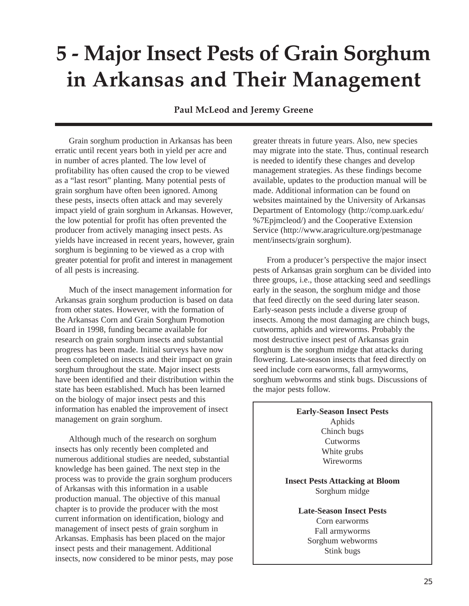# **5 - Major Insect Pests of Grain Sorghum in Arkansas and Their Management**

# **Paul McLeod and Jeremy Greene**

Grain sorghum production in Arkansas has been erratic until recent years both in yield per acre and in number of acres planted. The low level of profitability has often caused the crop to be viewed as a "last resort" planting. Many potential pests of grain sorghum have often been ignored. Among these pests, insects often attack and may severely impact yield of grain sorghum in Arkansas. However, the low potential for profit has often prevented the producer from actively managing insect pests. As yields have increased in recent years, however, grain sorghum is beginning to be viewed as a crop with greater potential for profit and interest in management of all pests is increasing.

Much of the insect management information for Arkansas grain sorghum production is based on data from other states. However, with the formation of the Arkansas Corn and Grain Sorghum Promotion Board in 1998, funding became available for research on grain sorghum insects and substantial progress has been made. Initial surveys have now been completed on insects and their impact on grain sorghum throughout the state. Major insect pests have been identified and their distribution within the state has been established. Much has been learned on the biology of major insect pests and this information has enabled the improvement of insect management on grain sorghum.

Although much of the research on sorghum insects has only recently been completed and numerous additional studies are needed, substantial knowledge has been gained. The next step in the process was to provide the grain sorghum producers of Arkansas with this information in a usable production manual. The objective of this manual chapter is to provide the producer with the most current information on identification, biology and management of insect pests of grain sorghum in Arkansas. Emphasis has been placed on the major insect pests and their management. Additional insects, now considered to be minor pests, may pose greater threats in future years. Also, new species may migrate into the state. Thus, continual research is needed to identify these changes and develop management strategies. As these findings become available, updates to the production manual will be made. Additional information can be found on websites maintained by the University of Arkansas Department of Entomology (http://comp.uark.edu/ %7Epjmcleod/) and the Cooperative Extension Service (http://www.aragriculture.org/pestmanage ment/insects/grain sorghum).

From a producer's perspective the major insect pests of Arkansas grain sorghum can be divided into three groups, i.e., those attacking seed and seedlings early in the season, the sorghum midge and those that feed directly on the seed during later season. Early-season pests include a diverse group of insects. Among the most damaging are chinch bugs, cutworms, aphids and wireworms. Probably the most destructive insect pest of Arkansas grain sorghum is the sorghum midge that attacks during flowering. Late-season insects that feed directly on seed include corn earworms, fall armyworms, sorghum webworms and stink bugs. Discussions of the major pests follow.

> **Early-Season Insect Pests**  Aphids Chinch bugs Cutworms White grubs Wireworms

**Insect Pests Attacking at Bloom**  Sorghum midge

> **Late-Season Insect Pests**  Corn earworms Fall armyworms Sorghum webworms Stink bugs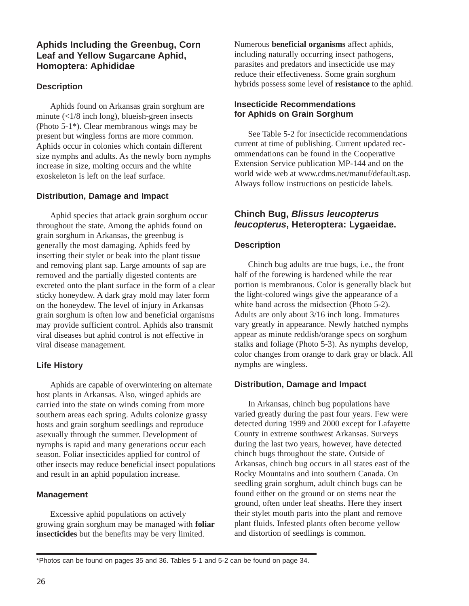# **Aphids Including the Greenbug, Corn Leaf and Yellow Sugarcane Aphid, Homoptera: Aphididae**

# **Description**

Aphids found on Arkansas grain sorghum are minute (<1/8 inch long), blueish-green insects (Photo 5-1\*). Clear membranous wings may be present but wingless forms are more common. Aphids occur in colonies which contain different size nymphs and adults. As the newly born nymphs increase in size, molting occurs and the white exoskeleton is left on the leaf surface.

# **Distribution, Damage and Impact**

Aphid species that attack grain sorghum occur throughout the state. Among the aphids found on grain sorghum in Arkansas, the greenbug is generally the most damaging. Aphids feed by inserting their stylet or beak into the plant tissue and removing plant sap. Large amounts of sap are removed and the partially digested contents are excreted onto the plant surface in the form of a clear sticky honeydew. A dark gray mold may later form on the honeydew. The level of injury in Arkansas grain sorghum is often low and beneficial organisms may provide sufficient control. Aphids also transmit viral diseases but aphid control is not effective in viral disease management.

# **Life History**

Aphids are capable of overwintering on alternate host plants in Arkansas. Also, winged aphids are carried into the state on winds coming from more southern areas each spring. Adults colonize grassy hosts and grain sorghum seedlings and reproduce asexually through the summer. Development of nymphs is rapid and many generations occur each season. Foliar insecticides applied for control of other insects may reduce beneficial insect populations and result in an aphid population increase.

# **Management**

Excessive aphid populations on actively growing grain sorghum may be managed with **foliar insecticides** but the benefits may be very limited.

Numerous **beneficial organisms** affect aphids, including naturally occurring insect pathogens, parasites and predators and insecticide use may reduce their effectiveness. Some grain sorghum hybrids possess some level of **resistance** to the aphid.

# **Insecticide Recommendations for Aphids on Grain Sorghum**

See Table 5-2 for insecticide recommendations current at time of publishing. Current updated recommendations can be found in the Cooperative Extension Service publication MP-144 and on the world wide web at www.cdms.net/manuf/default.asp. Always follow instructions on pesticide labels.

# **Chinch Bug, Blissus leucopterus leucopterus, Heteroptera: Lygaeidae.**

# **Description**

Chinch bug adults are true bugs, i.e., the front half of the forewing is hardened while the rear portion is membranous. Color is generally black but the light-colored wings give the appearance of a white band across the midsection (Photo 5-2). Adults are only about 3/16 inch long. Immatures vary greatly in appearance. Newly hatched nymphs appear as minute reddish/orange specs on sorghum stalks and foliage (Photo 5-3). As nymphs develop, color changes from orange to dark gray or black. All nymphs are wingless.

# **Distribution, Damage and Impact**

In Arkansas, chinch bug populations have varied greatly during the past four years. Few were detected during 1999 and 2000 except for Lafayette County in extreme southwest Arkansas. Surveys during the last two years, however, have detected chinch bugs throughout the state. Outside of Arkansas, chinch bug occurs in all states east of the Rocky Mountains and into southern Canada. On seedling grain sorghum, adult chinch bugs can be found either on the ground or on stems near the ground, often under leaf sheaths. Here they insert their stylet mouth parts into the plant and remove plant fluids. Infested plants often become yellow and distortion of seedlings is common.

<sup>\*</sup>Photos can be found on pages 35 and 36. Tables 5-1 and 5-2 can be found on page 34.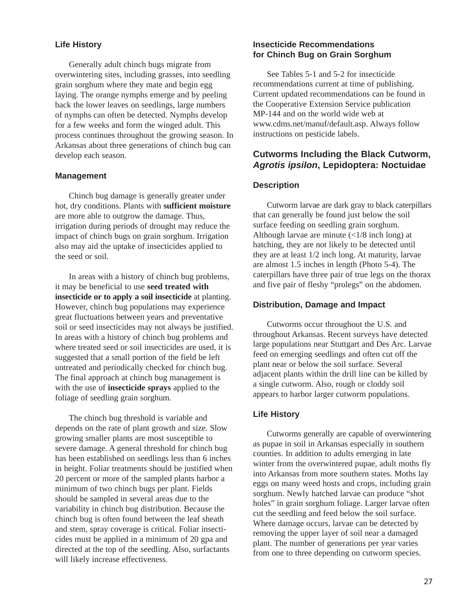#### **Life History**

Generally adult chinch bugs migrate from overwintering sites, including grasses, into seedling grain sorghum where they mate and begin egg laying. The orange nymphs emerge and by peeling back the lower leaves on seedlings, large numbers of nymphs can often be detected. Nymphs develop for a few weeks and form the winged adult. This process continues throughout the growing season. In Arkansas about three generations of chinch bug can develop each season.

#### **Management**

Chinch bug damage is generally greater under hot, dry conditions. Plants with **sufficient moisture**  are more able to outgrow the damage. Thus, irrigation during periods of drought may reduce the impact of chinch bugs on grain sorghum. Irrigation also may aid the uptake of insecticides applied to the seed or soil.

In areas with a history of chinch bug problems, it may be beneficial to use **seed treated with insecticide or to apply a soil insecticide** at planting. However, chinch bug populations may experience great fluctuations between years and preventative soil or seed insecticides may not always be justified. In areas with a history of chinch bug problems and where treated seed or soil insecticides are used, it is suggested that a small portion of the field be left untreated and periodically checked for chinch bug. The final approach at chinch bug management is with the use of **insecticide sprays** applied to the foliage of seedling grain sorghum.

The chinch bug threshold is variable and depends on the rate of plant growth and size. Slow growing smaller plants are most susceptible to severe damage. A general threshold for chinch bug has been established on seedlings less than 6 inches in height. Foliar treatments should be justified when 20 percent or more of the sampled plants harbor a minimum of two chinch bugs per plant. Fields should be sampled in several areas due to the variability in chinch bug distribution. Because the chinch bug is often found between the leaf sheath and stem, spray coverage is critical. Foliar insecticides must be applied in a minimum of 20 gpa and directed at the top of the seedling. Also, surfactants will likely increase effectiveness.

## **Insecticide Recommendations for Chinch Bug on Grain Sorghum**

See Tables 5-1 and 5-2 for insecticide recommendations current at time of publishing. Current updated recommendations can be found in the Cooperative Extension Service publication MP-144 and on the world wide web at www.cdms.net/manuf/default.asp. Always follow instructions on pesticide labels.

## **Cutworms Including the Black Cutworm, Agrotis ipsilon, Lepidoptera: Noctuidae**

# **Description**

Cutworm larvae are dark gray to black caterpillars that can generally be found just below the soil surface feeding on seedling grain sorghum. Although larvae are minute  $\left(\frac{1}{8} \text{ inch long}\right)$  at hatching, they are not likely to be detected until they are at least 1/2 inch long. At maturity, larvae are almost 1.5 inches in length (Photo 5-4). The caterpillars have three pair of true legs on the thorax and five pair of fleshy "prolegs" on the abdomen.

#### **Distribution, Damage and Impact**

Cutworms occur throughout the U.S. and throughout Arkansas. Recent surveys have detected large populations near Stuttgart and Des Arc. Larvae feed on emerging seedlings and often cut off the plant near or below the soil surface. Several adjacent plants within the drill line can be killed by a single cutworm. Also, rough or cloddy soil appears to harbor larger cutworm populations.

#### **Life History**

Cutworms generally are capable of overwintering as pupae in soil in Arkansas especially in southern counties. In addition to adults emerging in late winter from the overwintered pupae, adult moths fly into Arkansas from more southern states. Moths lay eggs on many weed hosts and crops, including grain sorghum. Newly hatched larvae can produce "shot holes" in grain sorghum foliage. Larger larvae often cut the seedling and feed below the soil surface. Where damage occurs, larvae can be detected by removing the upper layer of soil near a damaged plant. The number of generations per year varies from one to three depending on cutworm species.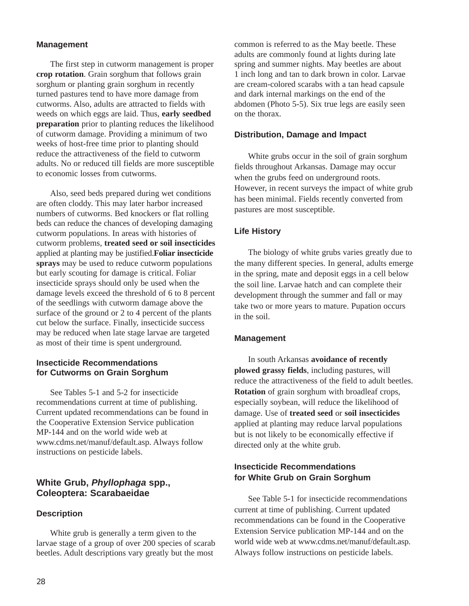#### **Management**

The first step in cutworm management is proper **crop rotation**. Grain sorghum that follows grain sorghum or planting grain sorghum in recently turned pastures tend to have more damage from cutworms. Also, adults are attracted to fields with weeds on which eggs are laid. Thus, **early seedbed preparation** prior to planting reduces the likelihood of cutworm damage. Providing a minimum of two weeks of host-free time prior to planting should reduce the attractiveness of the field to cutworm adults. No or reduced till fields are more susceptible to economic losses from cutworms.

Also, seed beds prepared during wet conditions are often cloddy. This may later harbor increased numbers of cutworms. Bed knockers or flat rolling beds can reduce the chances of developing damaging cutworm populations. In areas with histories of cutworm problems, **treated seed or soil insecticides**  applied at planting may be justified.**Foliar insecticide sprays** may be used to reduce cutworm populations but early scouting for damage is critical. Foliar insecticide sprays should only be used when the damage levels exceed the threshold of 6 to 8 percent of the seedlings with cutworm damage above the surface of the ground or 2 to 4 percent of the plants cut below the surface. Finally, insecticide success may be reduced when late stage larvae are targeted as most of their time is spent underground.

# **Insecticide Recommendations for Cutworms on Grain Sorghum**

See Tables 5-1 and 5-2 for insecticide recommendations current at time of publishing. Current updated recommendations can be found in the Cooperative Extension Service publication MP-144 and on the world wide web at www.cdms.net/manuf/default.asp. Always follow instructions on pesticide labels.

# **White Grub, Phyllophaga spp., Coleoptera: Scarabaeidae**

# **Description**

White grub is generally a term given to the larvae stage of a group of over 200 species of scarab beetles. Adult descriptions vary greatly but the most

common is referred to as the May beetle. These adults are commonly found at lights during late spring and summer nights. May beetles are about 1 inch long and tan to dark brown in color. Larvae are cream-colored scarabs with a tan head capsule and dark internal markings on the end of the abdomen (Photo 5-5). Six true legs are easily seen on the thorax.

# **Distribution, Damage and Impact**

White grubs occur in the soil of grain sorghum fields throughout Arkansas. Damage may occur when the grubs feed on underground roots. However, in recent surveys the impact of white grub has been minimal. Fields recently converted from pastures are most susceptible.

## **Life History**

The biology of white grubs varies greatly due to the many different species. In general, adults emerge in the spring, mate and deposit eggs in a cell below the soil line. Larvae hatch and can complete their development through the summer and fall or may take two or more years to mature. Pupation occurs in the soil.

#### **Management**

In south Arkansas **avoidance of recently plowed grassy fields**, including pastures, will reduce the attractiveness of the field to adult beetles. **Rotation** of grain sorghum with broadleaf crops, especially soybean, will reduce the likelihood of damage. Use of **treated seed** or **soil insecticides**  applied at planting may reduce larval populations but is not likely to be economically effective if directed only at the white grub.

# **Insecticide Recommendations for White Grub on Grain Sorghum**

See Table 5-1 for insecticide recommendations current at time of publishing. Current updated recommendations can be found in the Cooperative Extension Service publication MP-144 and on the world wide web at www.cdms.net/manuf/default.asp. Always follow instructions on pesticide labels.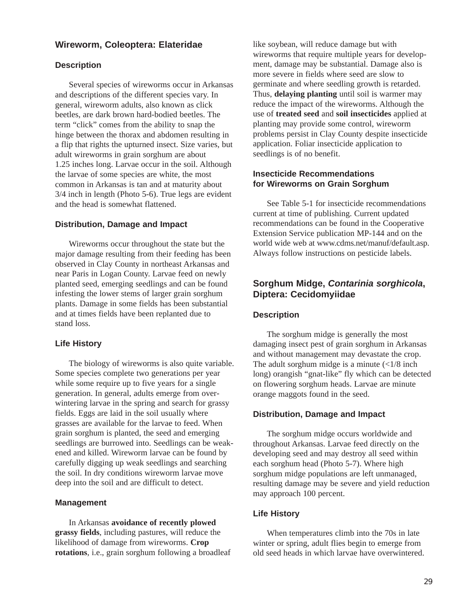## **Wireworm, Coleoptera: Elateridae**

#### **Description**

Several species of wireworms occur in Arkansas and descriptions of the different species vary. In general, wireworm adults, also known as click beetles, are dark brown hard-bodied beetles. The term "click" comes from the ability to snap the hinge between the thorax and abdomen resulting in a flip that rights the upturned insect. Size varies, but adult wireworms in grain sorghum are about 1.25 inches long. Larvae occur in the soil. Although the larvae of some species are white, the most common in Arkansas is tan and at maturity about 3/4 inch in length (Photo 5-6). True legs are evident and the head is somewhat flattened.

#### **Distribution, Damage and Impact**

Wireworms occur throughout the state but the major damage resulting from their feeding has been observed in Clay County in northeast Arkansas and near Paris in Logan County. Larvae feed on newly planted seed, emerging seedlings and can be found infesting the lower stems of larger grain sorghum plants. Damage in some fields has been substantial and at times fields have been replanted due to stand loss.

#### **Life History**

The biology of wireworms is also quite variable. Some species complete two generations per year while some require up to five years for a single generation. In general, adults emerge from overwintering larvae in the spring and search for grassy fields. Eggs are laid in the soil usually where grasses are available for the larvae to feed. When grain sorghum is planted, the seed and emerging seedlings are burrowed into. Seedlings can be weakened and killed. Wireworm larvae can be found by carefully digging up weak seedlings and searching the soil. In dry conditions wireworm larvae move deep into the soil and are difficult to detect.

#### **Management**

In Arkansas **avoidance of recently plowed grassy fields**, including pastures, will reduce the likelihood of damage from wireworms. **Crop rotations**, i.e., grain sorghum following a broadleaf like soybean, will reduce damage but with wireworms that require multiple years for development, damage may be substantial. Damage also is more severe in fields where seed are slow to germinate and where seedling growth is retarded. Thus, **delaying planting** until soil is warmer may reduce the impact of the wireworms. Although the use of **treated seed** and **soil insecticides** applied at planting may provide some control, wireworm problems persist in Clay County despite insecticide application. Foliar insecticide application to seedlings is of no benefit.

#### **Insecticide Recommendations for Wireworms on Grain Sorghum**

See Table 5-1 for insecticide recommendations current at time of publishing. Current updated recommendations can be found in the Cooperative Extension Service publication MP-144 and on the world wide web at www.cdms.net/manuf/default.asp. Always follow instructions on pesticide labels.

# **Sorghum Midge, Contarinia sorghicola, Diptera: Cecidomyiidae**

#### **Description**

The sorghum midge is generally the most damaging insect pest of grain sorghum in Arkansas and without management may devastate the crop. The adult sorghum midge is a minute  $\left\langle \frac{\langle 1/8 \rangle}{\langle 1/8 \rangle} \right\rangle$ long) orangish "gnat-like" fly which can be detected on flowering sorghum heads. Larvae are minute orange maggots found in the seed.

#### **Distribution, Damage and Impact**

The sorghum midge occurs worldwide and throughout Arkansas. Larvae feed directly on the developing seed and may destroy all seed within each sorghum head (Photo 5-7). Where high sorghum midge populations are left unmanaged, resulting damage may be severe and yield reduction may approach 100 percent.

## **Life History**

When temperatures climb into the 70s in late winter or spring, adult flies begin to emerge from old seed heads in which larvae have overwintered.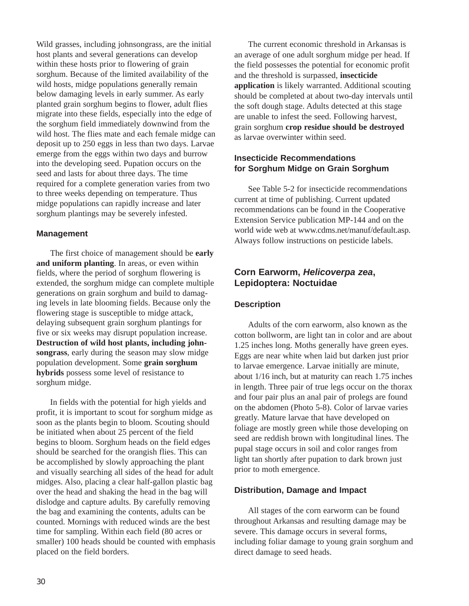Wild grasses, including johnsongrass, are the initial host plants and several generations can develop within these hosts prior to flowering of grain sorghum. Because of the limited availability of the wild hosts, midge populations generally remain below damaging levels in early summer. As early planted grain sorghum begins to flower, adult flies migrate into these fields, especially into the edge of the sorghum field immediately downwind from the wild host. The flies mate and each female midge can deposit up to 250 eggs in less than two days. Larvae emerge from the eggs within two days and burrow into the developing seed. Pupation occurs on the seed and lasts for about three days. The time required for a complete generation varies from two to three weeks depending on temperature. Thus midge populations can rapidly increase and later sorghum plantings may be severely infested.

## **Management**

The first choice of management should be **early and uniform planting**. In areas, or even within fields, where the period of sorghum flowering is extended, the sorghum midge can complete multiple generations on grain sorghum and build to damaging levels in late blooming fields. Because only the flowering stage is susceptible to midge attack, delaying subsequent grain sorghum plantings for five or six weeks may disrupt population increase. **Destruction of wild host plants, including johnsongrass**, early during the season may slow midge population development. Some **grain sorghum hybrids** possess some level of resistance to sorghum midge.

In fields with the potential for high yields and profit, it is important to scout for sorghum midge as soon as the plants begin to bloom. Scouting should be initiated when about 25 percent of the field begins to bloom. Sorghum heads on the field edges should be searched for the orangish flies. This can be accomplished by slowly approaching the plant and visually searching all sides of the head for adult midges. Also, placing a clear half-gallon plastic bag over the head and shaking the head in the bag will dislodge and capture adults. By carefully removing the bag and examining the contents, adults can be counted. Mornings with reduced winds are the best time for sampling. Within each field (80 acres or smaller) 100 heads should be counted with emphasis placed on the field borders.

The current economic threshold in Arkansas is an average of one adult sorghum midge per head. If the field possesses the potential for economic profit and the threshold is surpassed, **insecticide application** is likely warranted. Additional scouting should be completed at about two-day intervals until the soft dough stage. Adults detected at this stage are unable to infest the seed. Following harvest, grain sorghum **crop residue should be destroyed**  as larvae overwinter within seed.

# **Insecticide Recommendations for Sorghum Midge on Grain Sorghum**

See Table 5-2 for insecticide recommendations current at time of publishing. Current updated recommendations can be found in the Cooperative Extension Service publication MP-144 and on the world wide web at www.cdms.net/manuf/default.asp. Always follow instructions on pesticide labels.

# **Corn Earworm, Helicoverpa zea, Lepidoptera: Noctuidae**

# **Description**

Adults of the corn earworm, also known as the cotton bollworm, are light tan in color and are about 1.25 inches long. Moths generally have green eyes. Eggs are near white when laid but darken just prior to larvae emergence. Larvae initially are minute, about 1/16 inch, but at maturity can reach 1.75 inches in length. Three pair of true legs occur on the thorax and four pair plus an anal pair of prolegs are found on the abdomen (Photo 5-8). Color of larvae varies greatly. Mature larvae that have developed on foliage are mostly green while those developing on seed are reddish brown with longitudinal lines. The pupal stage occurs in soil and color ranges from light tan shortly after pupation to dark brown just prior to moth emergence.

# **Distribution, Damage and Impact**

All stages of the corn earworm can be found throughout Arkansas and resulting damage may be severe. This damage occurs in several forms, including foliar damage to young grain sorghum and direct damage to seed heads.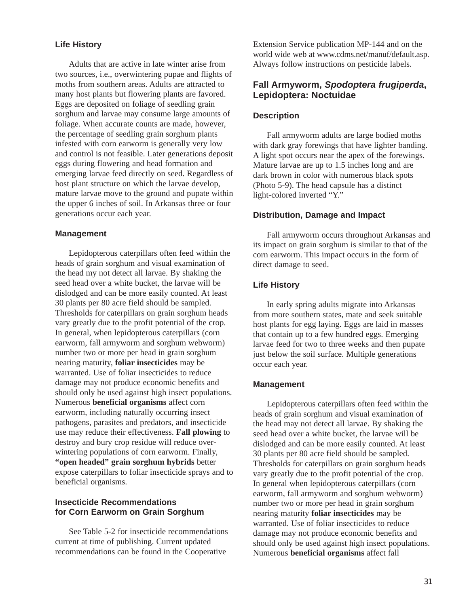#### **Life History**

Adults that are active in late winter arise from two sources, i.e., overwintering pupae and flights of moths from southern areas. Adults are attracted to many host plants but flowering plants are favored. Eggs are deposited on foliage of seedling grain sorghum and larvae may consume large amounts of foliage. When accurate counts are made, however, the percentage of seedling grain sorghum plants infested with corn earworm is generally very low and control is not feasible. Later generations deposit eggs during flowering and head formation and emerging larvae feed directly on seed. Regardless of host plant structure on which the larvae develop, mature larvae move to the ground and pupate within the upper 6 inches of soil. In Arkansas three or four generations occur each year.

#### **Management**

Lepidopterous caterpillars often feed within the heads of grain sorghum and visual examination of the head my not detect all larvae. By shaking the seed head over a white bucket, the larvae will be dislodged and can be more easily counted. At least 30 plants per 80 acre field should be sampled. Thresholds for caterpillars on grain sorghum heads vary greatly due to the profit potential of the crop. In general, when lepidopterous caterpillars (corn earworm, fall armyworm and sorghum webworm) number two or more per head in grain sorghum nearing maturity, **foliar insecticides** may be warranted. Use of foliar insecticides to reduce damage may not produce economic benefits and should only be used against high insect populations. Numerous **beneficial organisms** affect corn earworm, including naturally occurring insect pathogens, parasites and predators, and insecticide use may reduce their effectiveness. **Fall plowing** to destroy and bury crop residue will reduce overwintering populations of corn earworm. Finally, **"open headed" grain sorghum hybrids** better expose caterpillars to foliar insecticide sprays and to beneficial organisms.

## **Insecticide Recommendations for Corn Earworm on Grain Sorghum**

See Table 5-2 for insecticide recommendations current at time of publishing. Current updated recommendations can be found in the Cooperative

Extension Service publication MP-144 and on the world wide web at www.cdms.net/manuf/default.asp. Always follow instructions on pesticide labels.

# **Fall Armyworm, Spodoptera frugiperda, Lepidoptera: Noctuidae**

## **Description**

Fall armyworm adults are large bodied moths with dark gray forewings that have lighter banding. A light spot occurs near the apex of the forewings. Mature larvae are up to 1.5 inches long and are dark brown in color with numerous black spots (Photo 5-9). The head capsule has a distinct light-colored inverted "Y."

#### **Distribution, Damage and Impact**

Fall armyworm occurs throughout Arkansas and its impact on grain sorghum is similar to that of the corn earworm. This impact occurs in the form of direct damage to seed.

#### **Life History**

In early spring adults migrate into Arkansas from more southern states, mate and seek suitable host plants for egg laying. Eggs are laid in masses that contain up to a few hundred eggs. Emerging larvae feed for two to three weeks and then pupate just below the soil surface. Multiple generations occur each year.

#### **Management**

Lepidopterous caterpillars often feed within the heads of grain sorghum and visual examination of the head may not detect all larvae. By shaking the seed head over a white bucket, the larvae will be dislodged and can be more easily counted. At least 30 plants per 80 acre field should be sampled. Thresholds for caterpillars on grain sorghum heads vary greatly due to the profit potential of the crop. In general when lepidopterous caterpillars (corn earworm, fall armyworm and sorghum webworm) number two or more per head in grain sorghum nearing maturity **foliar insecticides** may be warranted. Use of foliar insecticides to reduce damage may not produce economic benefits and should only be used against high insect populations. Numerous **beneficial organisms** affect fall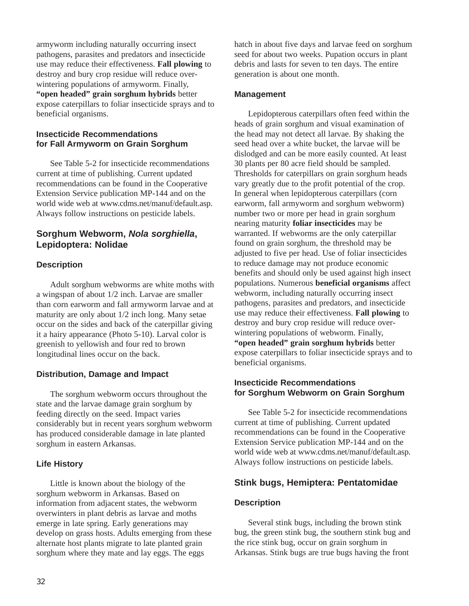armyworm including naturally occurring insect pathogens, parasites and predators and insecticide use may reduce their effectiveness. **Fall plowing** to destroy and bury crop residue will reduce overwintering populations of armyworm. Finally, **"open headed" grain sorghum hybrids** better expose caterpillars to foliar insecticide sprays and to beneficial organisms.

## **Insecticide Recommendations for Fall Armyworm on Grain Sorghum**

See Table 5-2 for insecticide recommendations current at time of publishing. Current updated recommendations can be found in the Cooperative Extension Service publication MP-144 and on the world wide web at www.cdms.net/manuf/default.asp. Always follow instructions on pesticide labels.

# **Sorghum Webworm, Nola sorghiella, Lepidoptera: Nolidae**

# **Description**

Adult sorghum webworms are white moths with a wingspan of about 1/2 inch. Larvae are smaller than corn earworm and fall armyworm larvae and at maturity are only about 1/2 inch long. Many setae occur on the sides and back of the caterpillar giving it a hairy appearance (Photo 5-10). Larval color is greenish to yellowish and four red to brown longitudinal lines occur on the back.

#### **Distribution, Damage and Impact**

The sorghum webworm occurs throughout the state and the larvae damage grain sorghum by feeding directly on the seed. Impact varies considerably but in recent years sorghum webworm has produced considerable damage in late planted sorghum in eastern Arkansas.

#### **Life History**

Little is known about the biology of the sorghum webworm in Arkansas. Based on information from adjacent states, the webworm overwinters in plant debris as larvae and moths emerge in late spring. Early generations may develop on grass hosts. Adults emerging from these alternate host plants migrate to late planted grain sorghum where they mate and lay eggs. The eggs

hatch in about five days and larvae feed on sorghum seed for about two weeks. Pupation occurs in plant debris and lasts for seven to ten days. The entire generation is about one month.

#### **Management**

Lepidopterous caterpillars often feed within the heads of grain sorghum and visual examination of the head may not detect all larvae. By shaking the seed head over a white bucket, the larvae will be dislodged and can be more easily counted. At least 30 plants per 80 acre field should be sampled. Thresholds for caterpillars on grain sorghum heads vary greatly due to the profit potential of the crop. In general when lepidopterous caterpillars (corn earworm, fall armyworm and sorghum webworm) number two or more per head in grain sorghum nearing maturity **foliar insecticides** may be warranted. If webworms are the only caterpillar found on grain sorghum, the threshold may be adjusted to five per head. Use of foliar insecticides to reduce damage may not produce economic benefits and should only be used against high insect populations. Numerous **beneficial organisms** affect webworm, including naturally occurring insect pathogens, parasites and predators, and insecticide use may reduce their effectiveness. **Fall plowing** to destroy and bury crop residue will reduce overwintering populations of webworm. Finally, **"open headed" grain sorghum hybrids** better expose caterpillars to foliar insecticide sprays and to beneficial organisms.

#### **Insecticide Recommendations for Sorghum Webworm on Grain Sorghum**

See Table 5-2 for insecticide recommendations current at time of publishing. Current updated recommendations can be found in the Cooperative Extension Service publication MP-144 and on the world wide web at www.cdms.net/manuf/default.asp. Always follow instructions on pesticide labels.

# **Stink bugs, Hemiptera: Pentatomidae**

#### **Description**

Several stink bugs, including the brown stink bug, the green stink bug, the southern stink bug and the rice stink bug, occur on grain sorghum in Arkansas. Stink bugs are true bugs having the front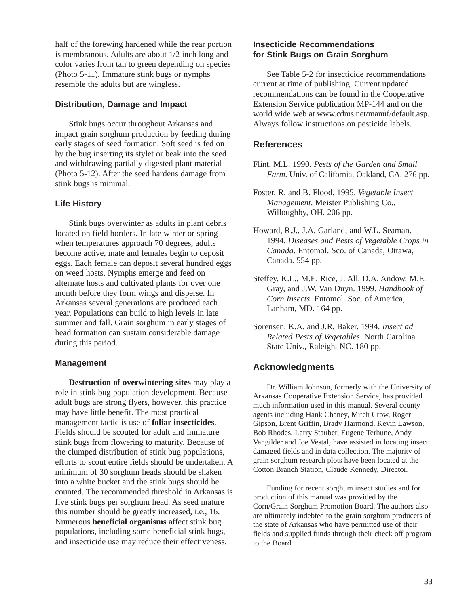half of the forewing hardened while the rear portion is membranous. Adults are about 1/2 inch long and color varies from tan to green depending on species (Photo 5-11). Immature stink bugs or nymphs resemble the adults but are wingless.

## **Distribution, Damage and Impact**

Stink bugs occur throughout Arkansas and impact grain sorghum production by feeding during early stages of seed formation. Soft seed is fed on by the bug inserting its stylet or beak into the seed and withdrawing partially digested plant material (Photo 5-12). After the seed hardens damage from stink bugs is minimal.

# **Life History**

Stink bugs overwinter as adults in plant debris located on field borders. In late winter or spring when temperatures approach 70 degrees, adults become active, mate and females begin to deposit eggs. Each female can deposit several hundred eggs on weed hosts. Nymphs emerge and feed on alternate hosts and cultivated plants for over one month before they form wings and disperse. In Arkansas several generations are produced each year. Populations can build to high levels in late summer and fall. Grain sorghum in early stages of head formation can sustain considerable damage during this period.

#### **Management**

**Destruction of overwintering sites** may play a role in stink bug population development. Because adult bugs are strong flyers, however, this practice may have little benefit. The most practical management tactic is use of **foliar insecticides**. Fields should be scouted for adult and immature stink bugs from flowering to maturity. Because of the clumped distribution of stink bug populations, efforts to scout entire fields should be undertaken. A minimum of 30 sorghum heads should be shaken into a white bucket and the stink bugs should be counted. The recommended threshold in Arkansas is five stink bugs per sorghum head. As seed mature this number should be greatly increased, i.e., 16. Numerous **beneficial organisms** affect stink bug populations, including some beneficial stink bugs, and insecticide use may reduce their effectiveness.

#### **Insecticide Recommendations for Stink Bugs on Grain Sorghum**

See Table 5-2 for insecticide recommendations current at time of publishing. Current updated recommendations can be found in the Cooperative Extension Service publication MP-144 and on the world wide web at www.cdms.net/manuf/default.asp. Always follow instructions on pesticide labels.

# **References**

- Flint, M.L. 1990. *Pests of the Garden and Small Farm*. Univ. of California, Oakland, CA. 276 pp.
- Foster, R. and B. Flood. 1995. *Vegetable Insect Management*. Meister Publishing Co., Willoughby, OH. 206 pp.
- Howard, R.J., J.A. Garland, and W.L. Seaman. 1994. *Diseases and Pests of Vegetable Crops in Canada*. Entomol. Sco. of Canada, Ottawa, Canada. 554 pp.
- Steffey, K.L., M.E. Rice, J. All, D.A. Andow, M.E. Gray, and J.W. Van Duyn. 1999. *Handbook of Corn Insects*. Entomol. Soc. of America, Lanham, MD. 164 pp.
- Sorensen, K.A. and J.R. Baker. 1994. *Insect ad Related Pests of Vegetables*. North Carolina State Univ., Raleigh, NC. 180 pp.

# **Acknowledgments**

Dr. William Johnson, formerly with the University of Arkansas Cooperative Extension Service, has provided much information used in this manual. Several county agents including Hank Chaney, Mitch Crow, Roger Gipson, Brent Griffin, Brady Harmond, Kevin Lawson, Bob Rhodes, Larry Stauber, Eugene Terhune, Andy Vangilder and Joe Vestal, have assisted in locating insect damaged fields and in data collection. The majority of grain sorghum research plots have been located at the Cotton Branch Station, Claude Kennedy, Director.

Funding for recent sorghum insect studies and for production of this manual was provided by the Corn/Grain Sorghum Promotion Board. The authors also are ultimately indebted to the grain sorghum producers of the state of Arkansas who have permitted use of their fields and supplied funds through their check off program to the Board.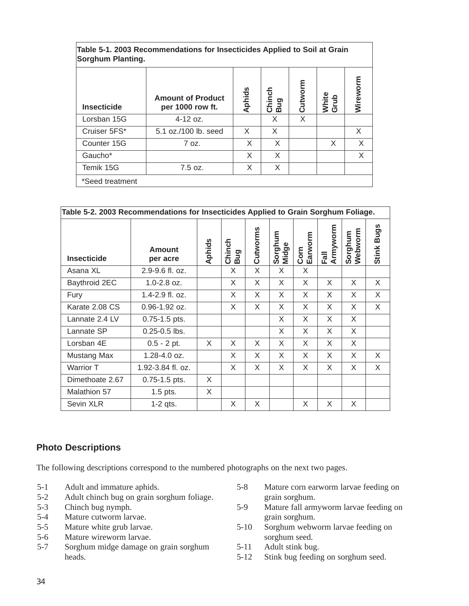| Table 5-1. 2003 Recommendations for Insecticides Applied to Soil at Grain<br>Sorghum Planting. |                                              |        |               |         |               |          |  |  |  |  |  |
|------------------------------------------------------------------------------------------------|----------------------------------------------|--------|---------------|---------|---------------|----------|--|--|--|--|--|
| <b>Insecticide</b>                                                                             | <b>Amount of Product</b><br>per 1000 row ft. | Aphids | Chinch<br>Bug | Cutworm | White<br>Grub | Wireworm |  |  |  |  |  |
| Lorsban 15G                                                                                    | $4-12$ oz.                                   |        | X             | X       |               |          |  |  |  |  |  |
| Cruiser 5FS*                                                                                   | 5.1 oz./100 lb. seed                         | X      | X             |         |               | X        |  |  |  |  |  |
| Counter 15G                                                                                    | 7 oz.                                        | X      | X             |         | X             | X        |  |  |  |  |  |
| Gaucho*                                                                                        |                                              | X      | X             |         |               | X        |  |  |  |  |  |
| Temik 15G                                                                                      | $7.5$ oz.                                    | X      | X             |         |               |          |  |  |  |  |  |
| *Seed treatment                                                                                |                                              |        |               |         |               |          |  |  |  |  |  |

| Table 5-2. 2003 Recommendations for Insecticides Applied to Grain Sorghum Foliage. |                           |        |               |          |                  |                 |                   |                    |            |  |  |
|------------------------------------------------------------------------------------|---------------------------|--------|---------------|----------|------------------|-----------------|-------------------|--------------------|------------|--|--|
| <b>Insecticide</b>                                                                 | <b>Amount</b><br>per acre | Aphids | Chinch<br>Bug | Cutworms | Sorghum<br>Midge | Earworm<br>Corn | Fall<br> Armyworm | Sorghum<br>Webworm | Stink Bugs |  |  |
| Asana XL                                                                           | 2.9-9.6 fl. oz.           |        | X             | X        | X                | X               |                   |                    |            |  |  |
| Baythroid 2EC                                                                      | $1.0 - 2.8$ oz.           |        | X             | X        | X                | X               | X                 | X                  | X          |  |  |
| Fury                                                                               | 1.4-2.9 fl. oz.           |        | X             | X        | X                | X               | X                 | X                  | X          |  |  |
| Karate 2.08 CS                                                                     | $0.96 - 1.92$ oz.         |        | X             | X        | X                | X               | X                 | X                  | X          |  |  |
| Lannate 2.4 LV                                                                     | 0.75-1.5 pts.             |        |               |          | X                | X               | X                 | X                  |            |  |  |
| Lannate SP                                                                         | $0.25 - 0.5$ lbs.         |        |               |          | X                | X               | X                 | X                  |            |  |  |
| Lorsban 4E                                                                         | $0.5 - 2$ pt.             | X      | X             | X        | X                | X               | X                 | X                  |            |  |  |
| Mustang Max                                                                        | 1.28-4.0 oz.              |        | X             | X        | X                | X               | X                 | X                  | X          |  |  |
| <b>Warrior T</b>                                                                   | 1.92-3.84 fl. oz.         |        | X             | X        | X                | X               | X                 | X                  | X          |  |  |
| Dimethoate 2.67                                                                    | $0.75 - 1.5$ pts.         | X      |               |          |                  |                 |                   |                    |            |  |  |
| Malathion 57                                                                       | $1.5$ pts.                | X      |               |          |                  |                 |                   |                    |            |  |  |
| Sevin XLR                                                                          | $1-2$ qts.                |        | X             | X        |                  | X               | X                 | X                  |            |  |  |

# **Photo Descriptions**

The following descriptions correspond to the numbered photographs on the next two pages.

- 5-1 Adult and immature aphids.<br>5-2 Adult chinch bug on grain so
- Adult chinch bug on grain sorghum foliage.
- 5-3 Chinch bug nymph.
- 5-4 Mature cutworm larvae.<br>5-5 Mature white grub larvae
- Mature white grub larvae.
- 5-6 Mature wireworm larvae.
- 5-7 Sorghum midge damage on grain sorghum heads.
- 5-8 Mature corn earworm larvae feeding on grain sorghum.
- 5-9 Mature fall armyworm larvae feeding on grain sorghum.
- 5-10 Sorghum webworm larvae feeding on sorghum seed.
- 5-11 Adult stink bug.<br>5-12 Stink bug feedin
- Stink bug feeding on sorghum seed.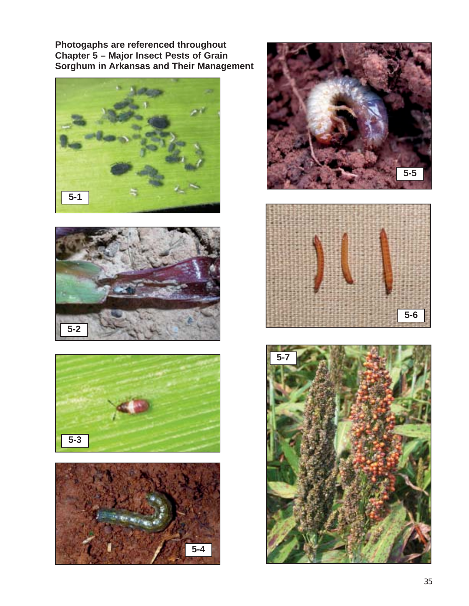**Photogaphs are referenced throughout Chapter 5 – Major Insect Pests of Grain Sorghum in Arkansas and Their Management**